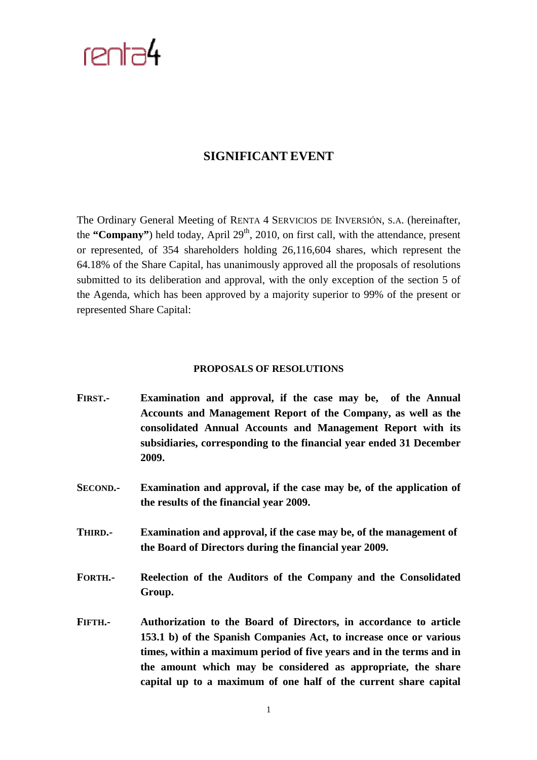## $r$ enta $4$

## **SIGNIFICANT EVENT**

The Ordinary General Meeting of RENTA 4 SERVICIOS DE INVERSIÓN, S.A. (hereinafter, the "**Company**") held today, April  $29<sup>th</sup>$ , 2010, on first call, with the attendance, present or represented, of 354 shareholders holding 26,116,604 shares, which represent the 64.18% of the Share Capital, has unanimously approved all the proposals of resolutions submitted to its deliberation and approval, with the only exception of the section 5 of the Agenda, which has been approved by a majority superior to 99% of the present or represented Share Capital:

## **PROPOSALS OF RESOLUTIONS**

- **FIRST.- Examination and approval, if the case may be, of the Annual Accounts and Management Report of the Company, as well as the consolidated Annual Accounts and Management Report with its subsidiaries, corresponding to the financial year ended 31 December 2009.**
- **SECOND.- Examination and approval, if the case may be, of the application of the results of the financial year 2009.**
- **THIRD.- Examination and approval, if the case may be, of the management of the Board of Directors during the financial year 2009.**
- **FORTH.- Reelection of the Auditors of the Company and the Consolidated Group.**
- **FIFTH.- Authorization to the Board of Directors, in accordance to article 153.1 b) of the Spanish Companies Act, to increase once or various times, within a maximum period of five years and in the terms and in the amount which may be considered as appropriate, the share capital up to a maximum of one half of the current share capital**